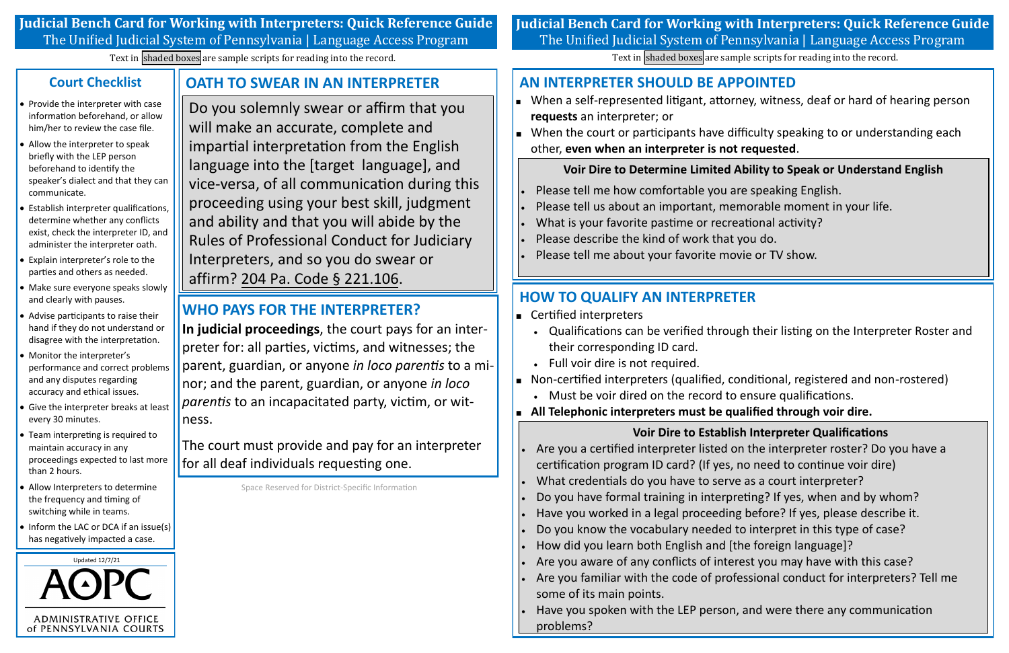**Voir Dire to Determine Limited Ability to Speak or Understand English**

- Please tell me how comfortable you are speaking English.
- Please tell us about an important, memorable moment in your life.
- What is your favorite pastime or recreational activity?
- Please describe the kind of work that you do.
- Please tell me about your favorite movie or TV show.

## **AN INTERPRETER SHOULD BE APPOINTED**

- **requests** an interpreter; or
- $\Box$  When the court or participants have difficulty speaking to or understanding each other, **even when an interpreter is not requested**.

- Certified interpreters
	- their corresponding ID card.
	- Full voir dire is not required.
- Non-certified interpreters (qualified, conditional, registered and non-rostered)
	- Must be voir dired on the record to ensure qualifications.
- **All Telephonic interpreters must be qualified through voir dire.**

**Voir Dire to Establish Interpreter Qualifications** Are you familiar with the code of professional conduct for interpreters? Tell me

- Are you a certified interpreter listed on the interpreter roster? Do you have a certification program ID card? (If yes, no need to continue voir dire)
- What credentials do you have to serve as a court interpreter?
- Do you have formal training in interpreting? If yes, when and by whom?
- Have you worked in a legal proceeding before? If yes, please describe it.
- Do you know the vocabulary needed to interpret in this type of case?
- How did you learn both English and [the foreign language]?
- Are you aware of any conflicts of interest you may have with this case?
- some of its main points.
- Have you spoken with the LEP person, and were there any communication problems?

When a self-represented litigant, attorney, witness, deaf or hard of hearing person

## **HOW TO QUALIFY AN INTERPRETER**

Qualifications can be verified through their listing on the Interpreter Roster and

- Provide the interpreter with case information beforehand, or allow him/her to review the case file.
- Allow the interpreter to speak briefly with the LEP person beforehand to identify the speaker's dialect and that they can communicate.
- Establish interpreter qualifications, determine whether any conflicts exist, check the interpreter ID, and administer the interpreter oath.
- Explain interpreter's role to the parties and others as needed.
- Make sure everyone speaks slowly and clearly with pauses.
- Advise participants to raise their hand if they do not understand or disagree with the interpretation.
- Monitor the interpreter's performance and correct problems and any disputes regarding accuracy and ethical issues.
- Give the interpreter breaks at least every 30 minutes.
- Team interpreting is required to maintain accuracy in any proceedings expected to last more than 2 hours.
- Allow Interpreters to determine the frequency and timing of switching while in teams.
- Inform the LAC or DCA if an issue(s) has negatively impacted a case.

**Judicial Bench Card for Working with Interpreters: Quick Reference Guide** The Unified Judicial System of Pennsylvania | Language Access Program

Do you solemnly swear or affirm that you will make an accurate, complete and impartial interpretation from the English language into the [target language], and vice-versa, of all communication during this proceeding using your best skill, judgment and ability and that you will abide by the Rules of Professional Conduct for Judiciary Interpreters, and so you do swear or affirm? 204 Pa. Code § 221. 106.

## **Court Checklist**

## **OATH TO SWEAR IN AN INTERPRETER**



Space Reserved for District-Specific Information

## **WHO PAYS FOR THE INTERPRETER?**

**In judicial proceedings**, the court pays for an interpreter for: all parties, victims, and witnesses; the parent, guardian, or anyone *in loco parentis* to a minor; and the parent, guardian, or anyone *in loco parentis* to an incapacitated party, victim, or witness.

The court must provide and pay for an interpreter for all deaf individuals requesting one.

# **Judicial Bench Card for Working with Interpreters: Quick Reference Guide** The Unified Judicial System of Pennsylvania | Language Access Program

Text in shaded boxes are sample scripts for reading into the record. Text in shaded boxes are sample scripts for reading into the record.